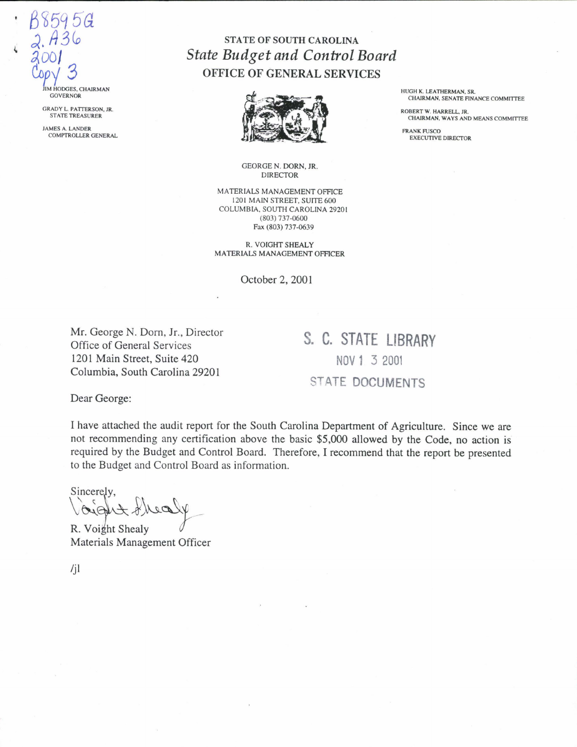IM HODGES, CHAIRMAN **GOVERNOR** 

8595G

GRADY L. PATTERSON, JR. STATE TREASURER

JAMES A. LANDER COMPTROLLER GENERAL

## STATE OF SOUTH CAROLINA *State Budget and Control Board*  OFFICE OF GENERAL SERVICES

-----------------------------------------------------------------------------------------------



GEORGE N. DORN, JR. DIRECTOR

MATERIALS MANAGEMENT OFFICE 1201 MAIN STREET, SUITE 600 COLUMBIA. SOUTH CAROLINA 29201 (803) 737-0600 Fax (803) 737-0639

R. VOIGHT SHEALY MATERIALS MANAGEMENT OFFICER

October 2, 2001

Mr. George N. Dorn, Jr., Director Office of General Services 1201 Main Street, Suite 420 Columbia, South Carolina 29201

**S. C. STATE LIBRARY**  NOV **1** 3 2001 STATE **DOCUMENTS** 

Dear George:

I have attached the audit report for the South Carolina Department of Agriculture. Since we are not recommending any certification above the basic \$5,000 allowed by the Code, no action is required by the Budget and Control Board. Therefore, I recommend that the report be presented to the Budget and Control Board as information.

Voidet Shealy Sincerely,<br>
Cight Shealy<br>
R. Voight Shealy<br>
Materials Management Officer

/jl

HUGH K. LEATHERMAN, SR. CHAIRMAN, SENATE FINANCE COMMITTEE

ROBERT W. HARRELL, JR. CHAIRMAN, WAYS AND MEANS COMMITTEE

**FRANK FUSCO** EXECUTIVE DIRECTOR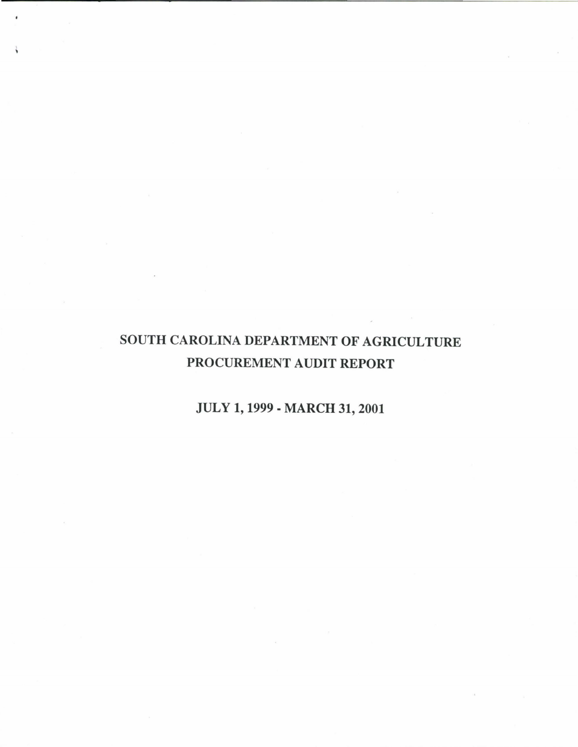# SOUTH CAROLINA DEPARTMENT OF AGRICULTURE PROCUREMENT AUDIT REPORT

## JULY 1, 1999 - MARCH 31, 2001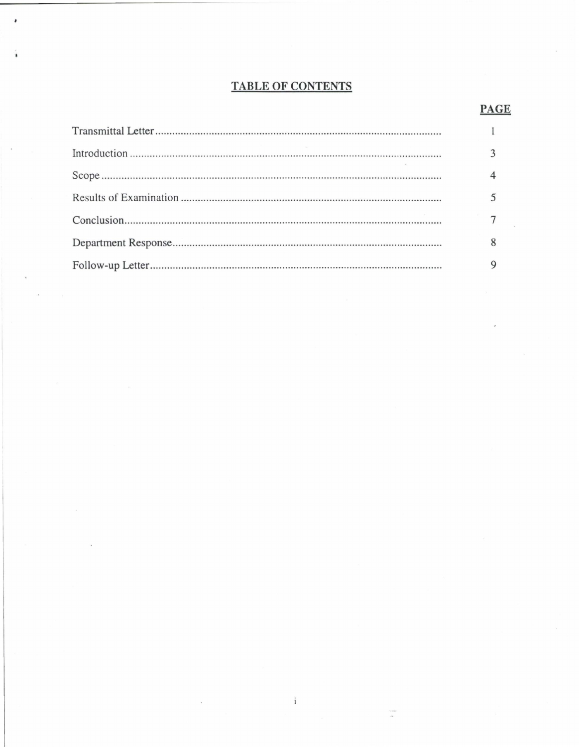### **TABLE OF CONTENTS**

#### $\mathbf{1}$  $\overline{3}$  $\overline{4}$ 5  $\overline{7}$ 8 9

 $\mathbf{i}$ 

#### **PAGE**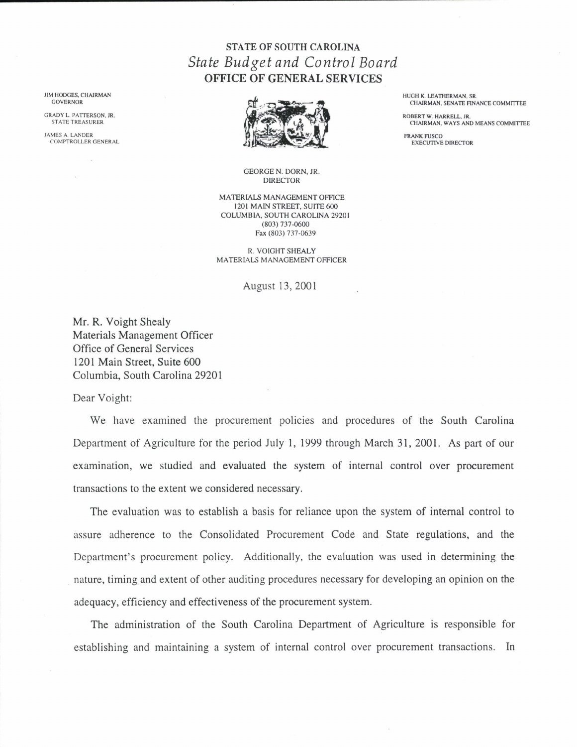## STATE OF SOUTH CAROLINA *State Budget and Control Board*  OFFICE OF GENERAL SERVICES

GEORGE N. DORN, JR. DIRECTOR

MATERIALS MANAGEMENT OFFICE 1201 MAIN STREET, SUITE 600 COLUMBIA, SOUTH CAROLINA 29201 (803) 737-0600 Fax (803) 737-0639

R. VOIGHT SHEALY MATERIALS MANAGEMENT OFFICER

#### August 13, 2001

Mr. R. Voight Shealy Materials Management Officer Office of General Services 1201 Main Street, Suite 600 Columbia, South Carolina 29201

Dear Voight:

We have examined the procurement policies and procedures of the South Carolina Department of Agriculture for the period July I, 1999 through March 31, 2001. As part of our examination, we studied and evaluated the system of internal control over procurement transactions to the extent we considered necessary.

The evaluation was to establish a basis for reliance upon the system of internal control to assure adherence to the Consolidated Procurement Code and State regulations, and the Department's procurement policy. Additionally, the evaluation was used in determining the . nature, timing and extent of other auditing procedures necessary for developing an opinion on the adequacy, efficiency and effectiveness of the procurement system.

The administration of the South Carolina Department of Agriculture is responsible for establishing and maintaining a system of internal control over procurement transactions. In

JIM HODGES. CHAIRMAN GOVERNOR

GRADY L. PATTERSON, JR. STATE TREASURER

JAMES A. LANDER COMPTROLLER GENERAL HUGH K. LEATHERMAN. SR. CHAIRMAN, SENATE FINANCE COMMITTEE

ROBERT W. HARRELL. JR. CHAIRMAN, WAYS AND MEANS COMMITTEE

FRANK FUSCO EXECUTIVE DIRECTOR